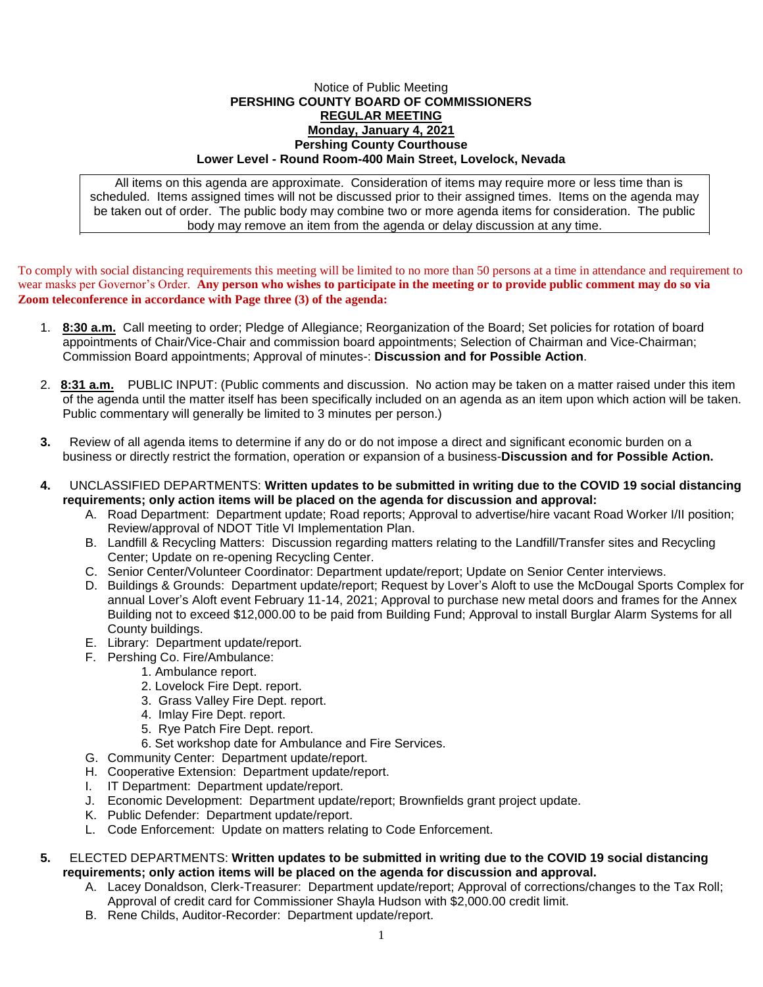## Notice of Public Meeting **PERSHING COUNTY BOARD OF COMMISSIONERS REGULAR MEETING Monday, January 4, 2021 Pershing County Courthouse Lower Level - Round Room-400 Main Street, Lovelock, Nevada**

All items on this agenda are approximate. Consideration of items may require more or less time than is scheduled. Items assigned times will not be discussed prior to their assigned times. Items on the agenda may be taken out of order. The public body may combine two or more agenda items for consideration. The public body may remove an item from the agenda or delay discussion at any time.

To comply with social distancing requirements this meeting will be limited to no more than 50 persons at a time in attendance and requirement to wear masks per Governor's Order. **Any person who wishes to participate in the meeting or to provide public comment may do so via Zoom teleconference in accordance with Page three (3) of the agenda:** 

- 1. **8:30 a.m.** Call meeting to order; Pledge of Allegiance; Reorganization of the Board; Set policies for rotation of board appointments of Chair/Vice-Chair and commission board appointments; Selection of Chairman and Vice-Chairman; Commission Board appointments; Approval of minutes-: **Discussion and for Possible Action**.
- 2. **8:31 a.m.** PUBLIC INPUT: (Public comments and discussion. No action may be taken on a matter raised under this item of the agenda until the matter itself has been specifically included on an agenda as an item upon which action will be taken. Public commentary will generally be limited to 3 minutes per person.)
- **3.** Review of all agenda items to determine if any do or do not impose a direct and significant economic burden on a business or directly restrict the formation, operation or expansion of a business-**Discussion and for Possible Action.**
- **4.** UNCLASSIFIED DEPARTMENTS: **Written updates to be submitted in writing due to the COVID 19 social distancing requirements; only action items will be placed on the agenda for discussion and approval:**
	- A. Road Department: Department update; Road reports; Approval to advertise/hire vacant Road Worker I/II position; Review/approval of NDOT Title VI Implementation Plan.
	- B. Landfill & Recycling Matters: Discussion regarding matters relating to the Landfill/Transfer sites and Recycling Center; Update on re-opening Recycling Center.
	- C. Senior Center/Volunteer Coordinator: Department update/report; Update on Senior Center interviews.
	- D. Buildings & Grounds: Department update/report; Request by Lover's Aloft to use the McDougal Sports Complex for annual Lover's Aloft event February 11-14, 2021; Approval to purchase new metal doors and frames for the Annex Building not to exceed \$12,000.00 to be paid from Building Fund; Approval to install Burglar Alarm Systems for all County buildings.
	- E. Library: Department update/report.
	- F. Pershing Co. Fire/Ambulance:
		- 1. Ambulance report.
			- 2. Lovelock Fire Dept. report.
			- 3. Grass Valley Fire Dept. report.
			- 4. Imlay Fire Dept. report.
			- 5. Rye Patch Fire Dept. report.
		- 6. Set workshop date for Ambulance and Fire Services.
	- G. Community Center: Department update/report.
	- H. Cooperative Extension: Department update/report.
	- I. IT Department: Department update/report.
	- J. Economic Development: Department update/report; Brownfields grant project update.
	- K. Public Defender: Department update/report.
	- L. Code Enforcement: Update on matters relating to Code Enforcement.
- **5.** ELECTED DEPARTMENTS: **Written updates to be submitted in writing due to the COVID 19 social distancing requirements; only action items will be placed on the agenda for discussion and approval.**
	- A. Lacey Donaldson, Clerk-Treasurer: Department update/report; Approval of corrections/changes to the Tax Roll; Approval of credit card for Commissioner Shayla Hudson with \$2,000.00 credit limit.
	- B. Rene Childs, Auditor-Recorder: Department update/report.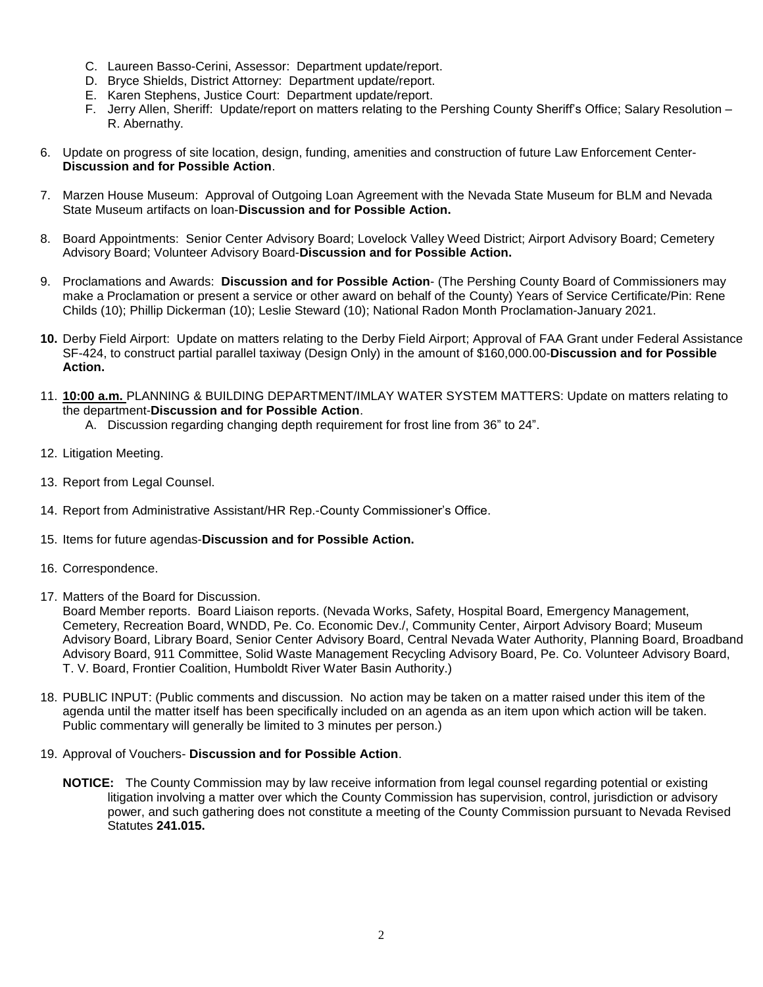- C. Laureen Basso-Cerini, Assessor: Department update/report.
- D. Bryce Shields, District Attorney: Department update/report.
- E. Karen Stephens, Justice Court: Department update/report.
- F. Jerry Allen, Sheriff: Update/report on matters relating to the Pershing County Sheriff's Office; Salary Resolution R. Abernathy.
- 6. Update on progress of site location, design, funding, amenities and construction of future Law Enforcement Center-**Discussion and for Possible Action**.
- 7. Marzen House Museum: Approval of Outgoing Loan Agreement with the Nevada State Museum for BLM and Nevada State Museum artifacts on loan-**Discussion and for Possible Action.**
- 8. Board Appointments: Senior Center Advisory Board; Lovelock Valley Weed District; Airport Advisory Board; Cemetery Advisory Board; Volunteer Advisory Board-**Discussion and for Possible Action.**
- 9. Proclamations and Awards: **Discussion and for Possible Action** (The Pershing County Board of Commissioners may make a Proclamation or present a service or other award on behalf of the County) Years of Service Certificate/Pin: Rene Childs (10); Phillip Dickerman (10); Leslie Steward (10); National Radon Month Proclamation-January 2021.
- **10.** Derby Field Airport: Update on matters relating to the Derby Field Airport; Approval of FAA Grant under Federal Assistance SF-424, to construct partial parallel taxiway (Design Only) in the amount of \$160,000.00-**Discussion and for Possible Action.**
- 11. **10:00 a.m.** PLANNING & BUILDING DEPARTMENT/IMLAY WATER SYSTEM MATTERS: Update on matters relating to the department-**Discussion and for Possible Action**.
	- A. Discussion regarding changing depth requirement for frost line from 36" to 24".
- 12. Litigation Meeting.
- 13. Report from Legal Counsel.
- 14. Report from Administrative Assistant/HR Rep.-County Commissioner's Office.
- 15. Items for future agendas-**Discussion and for Possible Action.**
- 16. Correspondence.
- 17. Matters of the Board for Discussion.

Board Member reports. Board Liaison reports. (Nevada Works, Safety, Hospital Board, Emergency Management, Cemetery, Recreation Board, WNDD, Pe. Co. Economic Dev./, Community Center, Airport Advisory Board; Museum Advisory Board, Library Board, Senior Center Advisory Board, Central Nevada Water Authority, Planning Board, Broadband Advisory Board, 911 Committee, Solid Waste Management Recycling Advisory Board, Pe. Co. Volunteer Advisory Board, T. V. Board, Frontier Coalition, Humboldt River Water Basin Authority.)

- 18. PUBLIC INPUT: (Public comments and discussion. No action may be taken on a matter raised under this item of the agenda until the matter itself has been specifically included on an agenda as an item upon which action will be taken. Public commentary will generally be limited to 3 minutes per person.)
- 19. Approval of Vouchers- **Discussion and for Possible Action**.
	- **NOTICE:** The County Commission may by law receive information from legal counsel regarding potential or existing litigation involving a matter over which the County Commission has supervision, control, jurisdiction or advisory power, and such gathering does not constitute a meeting of the County Commission pursuant to Nevada Revised Statutes **241.015.**